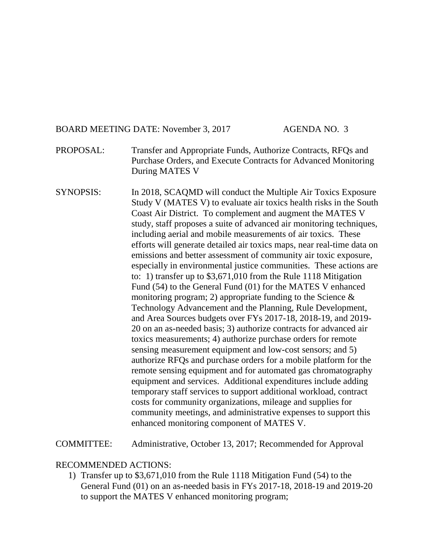# BOARD MEETING DATE: November 3, 2017 AGENDA NO. 3

- PROPOSAL: Transfer and Appropriate Funds, Authorize Contracts, RFQs and Purchase Orders, and Execute Contracts for Advanced Monitoring During MATES V
- SYNOPSIS: In 2018, SCAQMD will conduct the Multiple Air Toxics Exposure Study V (MATES V) to evaluate air toxics health risks in the South Coast Air District. To complement and augment the MATES V study, staff proposes a suite of advanced air monitoring techniques, including aerial and mobile measurements of air toxics. These efforts will generate detailed air toxics maps, near real-time data on emissions and better assessment of community air toxic exposure, especially in environmental justice communities. These actions are to: 1) transfer up to \$3,671,010 from the Rule 1118 Mitigation Fund (54) to the General Fund (01) for the MATES V enhanced monitoring program; 2) appropriate funding to the Science  $\&$ Technology Advancement and the Planning, Rule Development, and Area Sources budgets over FYs 2017-18, 2018-19, and 2019- 20 on an as-needed basis; 3) authorize contracts for advanced air toxics measurements; 4) authorize purchase orders for remote sensing measurement equipment and low-cost sensors; and 5) authorize RFQs and purchase orders for a mobile platform for the remote sensing equipment and for automated gas chromatography equipment and services. Additional expenditures include adding temporary staff services to support additional workload, contract costs for community organizations, mileage and supplies for community meetings, and administrative expenses to support this enhanced monitoring component of MATES V.

COMMITTEE: Administrative, October 13, 2017; Recommended for Approval

#### RECOMMENDED ACTIONS:

1) Transfer up to \$3,671,010 from the Rule 1118 Mitigation Fund (54) to the General Fund (01) on an as-needed basis in FYs 2017-18, 2018-19 and 2019-20 to support the MATES V enhanced monitoring program;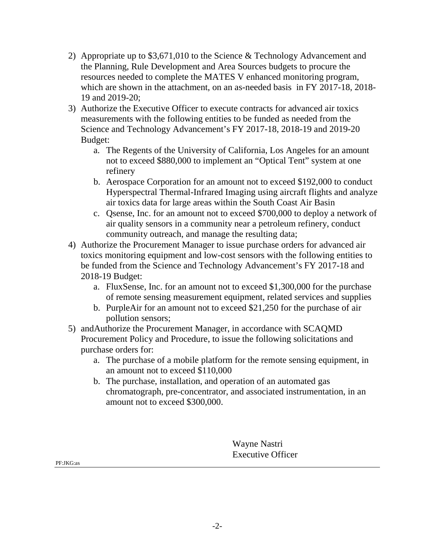- 2) Appropriate up to \$3,671,010 to the Science & Technology Advancement and the Planning, Rule Development and Area Sources budgets to procure the resources needed to complete the MATES V enhanced monitoring program, which are shown in the attachment, on an as-needed basis in FY 2017-18, 2018- 19 and 2019-20;
- 3) Authorize the Executive Officer to execute contracts for advanced air toxics measurements with the following entities to be funded as needed from the Science and Technology Advancement's FY 2017-18, 2018-19 and 2019-20 Budget:
	- a. The Regents of the University of California, Los Angeles for an amount not to exceed \$880,000 to implement an "Optical Tent" system at one refinery
	- b. Aerospace Corporation for an amount not to exceed \$192,000 to conduct Hyperspectral Thermal-Infrared Imaging using aircraft flights and analyze air toxics data for large areas within the South Coast Air Basin
	- c. Qsense, Inc. for an amount not to exceed \$700,000 to deploy a network of air quality sensors in a community near a petroleum refinery, conduct community outreach, and manage the resulting data;
- 4) Authorize the Procurement Manager to issue purchase orders for advanced air toxics monitoring equipment and low-cost sensors with the following entities to be funded from the Science and Technology Advancement's FY 2017-18 and 2018-19 Budget:
	- a. FluxSense, Inc. for an amount not to exceed \$1,300,000 for the purchase of remote sensing measurement equipment, related services and supplies
	- b. PurpleAir for an amount not to exceed \$21,250 for the purchase of air pollution sensors;
- 5) andAuthorize the Procurement Manager, in accordance with SCAQMD Procurement Policy and Procedure, to issue the following solicitations and purchase orders for:
	- a. The purchase of a mobile platform for the remote sensing equipment, in an amount not to exceed \$110,000
	- b. The purchase, installation, and operation of an automated gas chromatograph, pre-concentrator, and associated instrumentation, in an amount not to exceed \$300,000.

Wayne Nastri Executive Officer

PF:JKG:as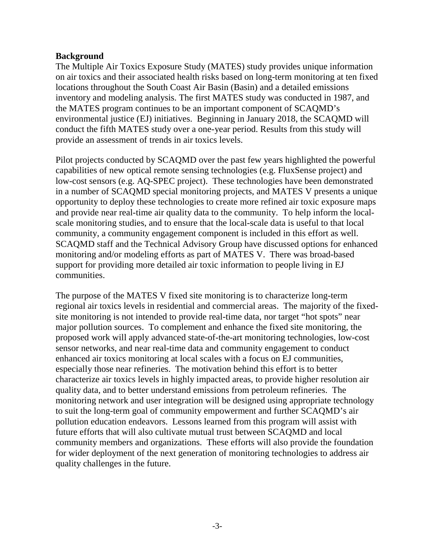### **Background**

The Multiple Air Toxics Exposure Study (MATES) study provides unique information on air toxics and their associated health risks based on long-term monitoring at ten fixed locations throughout the South Coast Air Basin (Basin) and a detailed emissions inventory and modeling analysis. The first MATES study was conducted in 1987, and the MATES program continues to be an important component of SCAQMD's environmental justice (EJ) initiatives. Beginning in January 2018, the SCAQMD will conduct the fifth MATES study over a one-year period. Results from this study will provide an assessment of trends in air toxics levels.

Pilot projects conducted by SCAQMD over the past few years highlighted the powerful capabilities of new optical remote sensing technologies (e.g. FluxSense project) and low-cost sensors (e.g. AQ-SPEC project). These technologies have been demonstrated in a number of SCAQMD special monitoring projects, and MATES V presents a unique opportunity to deploy these technologies to create more refined air toxic exposure maps and provide near real-time air quality data to the community. To help inform the localscale monitoring studies, and to ensure that the local-scale data is useful to that local community, a community engagement component is included in this effort as well. SCAQMD staff and the Technical Advisory Group have discussed options for enhanced monitoring and/or modeling efforts as part of MATES V. There was broad-based support for providing more detailed air toxic information to people living in EJ communities.

The purpose of the MATES V fixed site monitoring is to characterize long-term regional air toxics levels in residential and commercial areas. The majority of the fixedsite monitoring is not intended to provide real-time data, nor target "hot spots" near major pollution sources. To complement and enhance the fixed site monitoring, the proposed work will apply advanced state-of-the-art monitoring technologies, low-cost sensor networks, and near real-time data and community engagement to conduct enhanced air toxics monitoring at local scales with a focus on EJ communities, especially those near refineries. The motivation behind this effort is to better characterize air toxics levels in highly impacted areas, to provide higher resolution air quality data, and to better understand emissions from petroleum refineries. The monitoring network and user integration will be designed using appropriate technology to suit the long-term goal of community empowerment and further SCAQMD's air pollution education endeavors. Lessons learned from this program will assist with future efforts that will also cultivate mutual trust between SCAQMD and local community members and organizations. These efforts will also provide the foundation for wider deployment of the next generation of monitoring technologies to address air quality challenges in the future.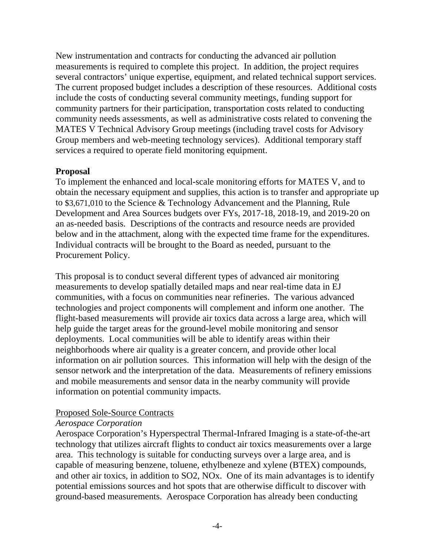New instrumentation and contracts for conducting the advanced air pollution measurements is required to complete this project. In addition, the project requires several contractors' unique expertise, equipment, and related technical support services. The current proposed budget includes a description of these resources. Additional costs include the costs of conducting several community meetings, funding support for community partners for their participation, transportation costs related to conducting community needs assessments, as well as administrative costs related to convening the MATES V Technical Advisory Group meetings (including travel costs for Advisory Group members and web-meeting technology services). Additional temporary staff services a required to operate field monitoring equipment.

## **Proposal**

To implement the enhanced and local-scale monitoring efforts for MATES V, and to obtain the necessary equipment and supplies, this action is to transfer and appropriate up to \$3,671,010 to the Science & Technology Advancement and the Planning, Rule Development and Area Sources budgets over FYs, 2017-18, 2018-19, and 2019-20 on an as-needed basis. Descriptions of the contracts and resource needs are provided below and in the attachment, along with the expected time frame for the expenditures. Individual contracts will be brought to the Board as needed, pursuant to the Procurement Policy.

This proposal is to conduct several different types of advanced air monitoring measurements to develop spatially detailed maps and near real-time data in EJ communities, with a focus on communities near refineries. The various advanced technologies and project components will complement and inform one another. The flight-based measurements will provide air toxics data across a large area, which will help guide the target areas for the ground-level mobile monitoring and sensor deployments. Local communities will be able to identify areas within their neighborhoods where air quality is a greater concern, and provide other local information on air pollution sources. This information will help with the design of the sensor network and the interpretation of the data. Measurements of refinery emissions and mobile measurements and sensor data in the nearby community will provide information on potential community impacts.

# Proposed Sole-Source Contracts

# *Aerospace Corporation*

Aerospace Corporation's Hyperspectral Thermal-Infrared Imaging is a state-of-the-art technology that utilizes aircraft flights to conduct air toxics measurements over a large area. This technology is suitable for conducting surveys over a large area, and is capable of measuring benzene, toluene, ethylbeneze and xylene (BTEX) compounds, and other air toxics, in addition to SO2, NOx. One of its main advantages is to identify potential emissions sources and hot spots that are otherwise difficult to discover with ground-based measurements. Aerospace Corporation has already been conducting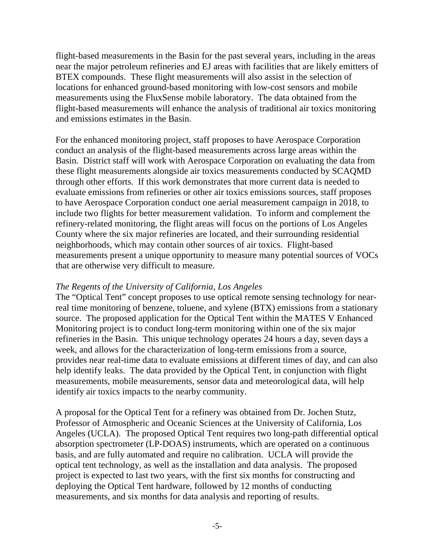flight-based measurements in the Basin for the past several years, including in the areas near the major petroleum refineries and EJ areas with facilities that are likely emitters of BTEX compounds. These flight measurements will also assist in the selection of locations for enhanced ground-based monitoring with low-cost sensors and mobile measurements using the FluxSense mobile laboratory. The data obtained from the flight-based measurements will enhance the analysis of traditional air toxics monitoring and emissions estimates in the Basin.

For the enhanced monitoring project, staff proposes to have Aerospace Corporation conduct an analysis of the flight-based measurements across large areas within the Basin. District staff will work with Aerospace Corporation on evaluating the data from these flight measurements alongside air toxics measurements conducted by SCAQMD through other efforts. If this work demonstrates that more current data is needed to evaluate emissions from refineries or other air toxics emissions sources, staff proposes to have Aerospace Corporation conduct one aerial measurement campaign in 2018, to include two flights for better measurement validation. To inform and complement the refinery-related monitoring, the flight areas will focus on the portions of Los Angeles County where the six major refineries are located, and their surrounding residential neighborhoods, which may contain other sources of air toxics. Flight-based measurements present a unique opportunity to measure many potential sources of VOCs that are otherwise very difficult to measure.

## *The Regents of the University of California, Los Angeles*

The "Optical Tent" concept proposes to use optical remote sensing technology for nearreal time monitoring of benzene, toluene, and xylene (BTX) emissions from a stationary source. The proposed application for the Optical Tent within the MATES V Enhanced Monitoring project is to conduct long-term monitoring within one of the six major refineries in the Basin. This unique technology operates 24 hours a day, seven days a week, and allows for the characterization of long-term emissions from a source, provides near real-time data to evaluate emissions at different times of day, and can also help identify leaks. The data provided by the Optical Tent, in conjunction with flight measurements, mobile measurements, sensor data and meteorological data, will help identify air toxics impacts to the nearby community.

A proposal for the Optical Tent for a refinery was obtained from Dr. Jochen Stutz, Professor of Atmospheric and Oceanic Sciences at the University of California, Los Angeles (UCLA). The proposed Optical Tent requires two long-path differential optical absorption spectrometer (LP-DOAS) instruments, which are operated on a continuous basis, and are fully automated and require no calibration. UCLA will provide the optical tent technology, as well as the installation and data analysis. The proposed project is expected to last two years, with the first six months for constructing and deploying the Optical Tent hardware, followed by 12 months of conducting measurements, and six months for data analysis and reporting of results.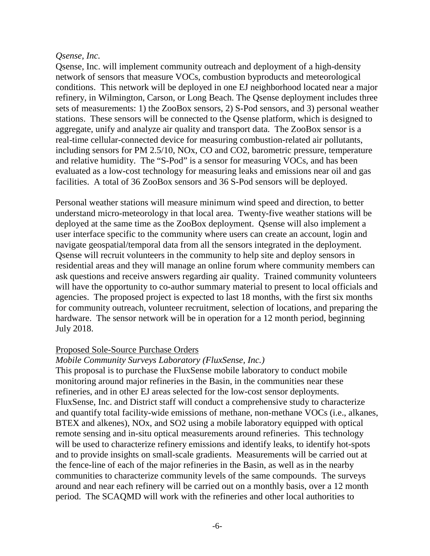### *Qsense, Inc.*

Qsense, Inc. will implement community outreach and deployment of a high-density network of sensors that measure VOCs, combustion byproducts and meteorological conditions. This network will be deployed in one EJ neighborhood located near a major refinery, in Wilmington, Carson, or Long Beach. The Qsense deployment includes three sets of measurements: 1) the ZooBox sensors, 2) S-Pod sensors, and 3) personal weather stations. These sensors will be connected to the Qsense platform, which is designed to aggregate, unify and analyze air quality and transport data. The ZooBox sensor is a real-time cellular-connected device for measuring combustion-related air pollutants, including sensors for PM 2.5/10, NOx, CO and CO2, barometric pressure, temperature and relative humidity. The "S-Pod" is a sensor for measuring VOCs, and has been evaluated as a low-cost technology for measuring leaks and emissions near oil and gas facilities. A total of 36 ZooBox sensors and 36 S-Pod sensors will be deployed.

Personal weather stations will measure minimum wind speed and direction, to better understand micro-meteorology in that local area. Twenty-five weather stations will be deployed at the same time as the ZooBox deployment. Qsense will also implement a user interface specific to the community where users can create an account, login and navigate geospatial/temporal data from all the sensors integrated in the deployment. Qsense will recruit volunteers in the community to help site and deploy sensors in residential areas and they will manage an online forum where community members can ask questions and receive answers regarding air quality. Trained community volunteers will have the opportunity to co-author summary material to present to local officials and agencies. The proposed project is expected to last 18 months, with the first six months for community outreach, volunteer recruitment, selection of locations, and preparing the hardware. The sensor network will be in operation for a 12 month period, beginning July 2018.

#### Proposed Sole-Source Purchase Orders

## *Mobile Community Surveys Laboratory (FluxSense, Inc.)*

This proposal is to purchase the FluxSense mobile laboratory to conduct mobile monitoring around major refineries in the Basin, in the communities near these refineries, and in other EJ areas selected for the low-cost sensor deployments. FluxSense, Inc. and District staff will conduct a comprehensive study to characterize and quantify total facility-wide emissions of methane, non-methane VOCs (i.e., alkanes, BTEX and alkenes), NOx, and SO2 using a mobile laboratory equipped with optical remote sensing and in-situ optical measurements around refineries. This technology will be used to characterize refinery emissions and identify leaks, to identify hot-spots and to provide insights on small-scale gradients. Measurements will be carried out at the fence-line of each of the major refineries in the Basin, as well as in the nearby communities to characterize community levels of the same compounds. The surveys around and near each refinery will be carried out on a monthly basis, over a 12 month period. The SCAQMD will work with the refineries and other local authorities to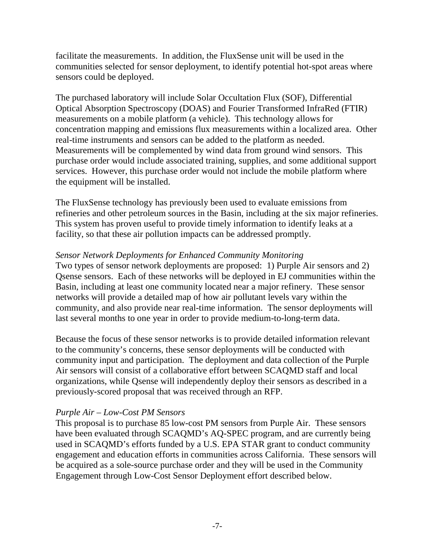facilitate the measurements. In addition, the FluxSense unit will be used in the communities selected for sensor deployment, to identify potential hot-spot areas where sensors could be deployed.

The purchased laboratory will include Solar Occultation Flux (SOF), Differential Optical Absorption Spectroscopy (DOAS) and Fourier Transformed InfraRed (FTIR) measurements on a mobile platform (a vehicle). This technology allows for concentration mapping and emissions flux measurements within a localized area. Other real-time instruments and sensors can be added to the platform as needed. Measurements will be complemented by wind data from ground wind sensors. This purchase order would include associated training, supplies, and some additional support services. However, this purchase order would not include the mobile platform where the equipment will be installed.

The FluxSense technology has previously been used to evaluate emissions from refineries and other petroleum sources in the Basin, including at the six major refineries. This system has proven useful to provide timely information to identify leaks at a facility, so that these air pollution impacts can be addressed promptly.

### *Sensor Network Deployments for Enhanced Community Monitoring*

Two types of sensor network deployments are proposed: 1) Purple Air sensors and 2) Qsense sensors. Each of these networks will be deployed in EJ communities within the Basin, including at least one community located near a major refinery. These sensor networks will provide a detailed map of how air pollutant levels vary within the community, and also provide near real-time information. The sensor deployments will last several months to one year in order to provide medium-to-long-term data.

Because the focus of these sensor networks is to provide detailed information relevant to the community's concerns, these sensor deployments will be conducted with community input and participation. The deployment and data collection of the Purple Air sensors will consist of a collaborative effort between SCAQMD staff and local organizations, while Qsense will independently deploy their sensors as described in a previously-scored proposal that was received through an RFP.

## *Purple Air – Low-Cost PM Sensors*

This proposal is to purchase 85 low-cost PM sensors from Purple Air. These sensors have been evaluated through SCAQMD's AQ-SPEC program, and are currently being used in SCAQMD's efforts funded by a U.S. EPA STAR grant to conduct community engagement and education efforts in communities across California. These sensors will be acquired as a sole-source purchase order and they will be used in the Community Engagement through Low-Cost Sensor Deployment effort described below.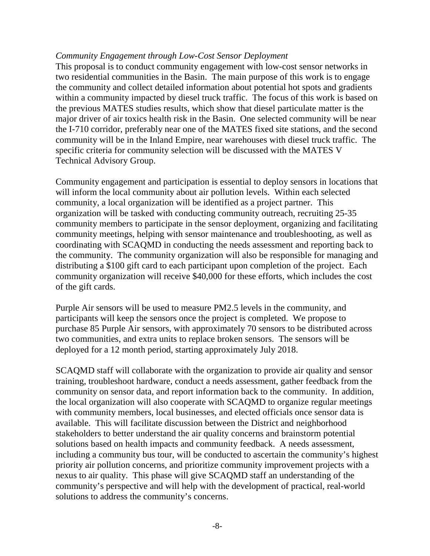### *Community Engagement through Low-Cost Sensor Deployment*

This proposal is to conduct community engagement with low-cost sensor networks in two residential communities in the Basin. The main purpose of this work is to engage the community and collect detailed information about potential hot spots and gradients within a community impacted by diesel truck traffic. The focus of this work is based on the previous MATES studies results, which show that diesel particulate matter is the major driver of air toxics health risk in the Basin. One selected community will be near the I-710 corridor, preferably near one of the MATES fixed site stations, and the second community will be in the Inland Empire, near warehouses with diesel truck traffic. The specific criteria for community selection will be discussed with the MATES V Technical Advisory Group.

Community engagement and participation is essential to deploy sensors in locations that will inform the local community about air pollution levels. Within each selected community, a local organization will be identified as a project partner. This organization will be tasked with conducting community outreach, recruiting 25-35 community members to participate in the sensor deployment, organizing and facilitating community meetings, helping with sensor maintenance and troubleshooting, as well as coordinating with SCAQMD in conducting the needs assessment and reporting back to the community. The community organization will also be responsible for managing and distributing a \$100 gift card to each participant upon completion of the project. Each community organization will receive \$40,000 for these efforts, which includes the cost of the gift cards.

Purple Air sensors will be used to measure PM2.5 levels in the community, and participants will keep the sensors once the project is completed. We propose to purchase 85 Purple Air sensors, with approximately 70 sensors to be distributed across two communities, and extra units to replace broken sensors. The sensors will be deployed for a 12 month period, starting approximately July 2018.

SCAQMD staff will collaborate with the organization to provide air quality and sensor training, troubleshoot hardware, conduct a needs assessment, gather feedback from the community on sensor data, and report information back to the community. In addition, the local organization will also cooperate with SCAQMD to organize regular meetings with community members, local businesses, and elected officials once sensor data is available. This will facilitate discussion between the District and neighborhood stakeholders to better understand the air quality concerns and brainstorm potential solutions based on health impacts and community feedback. A needs assessment, including a community bus tour, will be conducted to ascertain the community's highest priority air pollution concerns, and prioritize community improvement projects with a nexus to air quality. This phase will give SCAQMD staff an understanding of the community's perspective and will help with the development of practical, real-world solutions to address the community's concerns.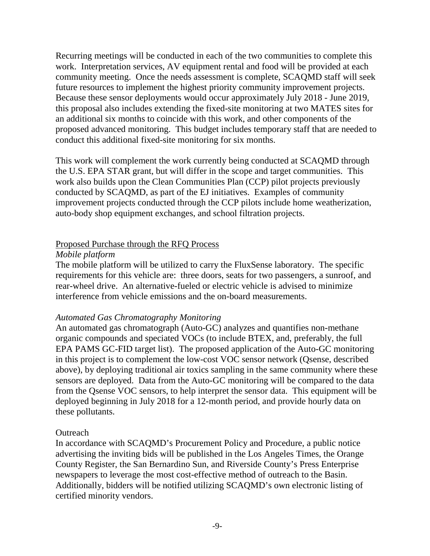Recurring meetings will be conducted in each of the two communities to complete this work. Interpretation services, AV equipment rental and food will be provided at each community meeting. Once the needs assessment is complete, SCAQMD staff will seek future resources to implement the highest priority community improvement projects. Because these sensor deployments would occur approximately July 2018 - June 2019, this proposal also includes extending the fixed-site monitoring at two MATES sites for an additional six months to coincide with this work, and other components of the proposed advanced monitoring. This budget includes temporary staff that are needed to conduct this additional fixed-site monitoring for six months.

This work will complement the work currently being conducted at SCAQMD through the U.S. EPA STAR grant, but will differ in the scope and target communities. This work also builds upon the Clean Communities Plan (CCP) pilot projects previously conducted by SCAQMD, as part of the EJ initiatives. Examples of community improvement projects conducted through the CCP pilots include home weatherization, auto-body shop equipment exchanges, and school filtration projects.

## Proposed Purchase through the RFQ Process

### *Mobile platform*

The mobile platform will be utilized to carry the FluxSense laboratory. The specific requirements for this vehicle are: three doors, seats for two passengers, a sunroof, and rear-wheel drive. An alternative-fueled or electric vehicle is advised to minimize interference from vehicle emissions and the on-board measurements.

## *Automated Gas Chromatography Monitoring*

An automated gas chromatograph (Auto-GC) analyzes and quantifies non-methane organic compounds and speciated VOCs (to include BTEX, and, preferably, the full EPA PAMS GC-FID target list). The proposed application of the Auto-GC monitoring in this project is to complement the low-cost VOC sensor network (Qsense, described above), by deploying traditional air toxics sampling in the same community where these sensors are deployed. Data from the Auto-GC monitoring will be compared to the data from the Qsense VOC sensors, to help interpret the sensor data. This equipment will be deployed beginning in July 2018 for a 12-month period, and provide hourly data on these pollutants.

## **Outreach**

In accordance with SCAQMD's Procurement Policy and Procedure, a public notice advertising the inviting bids will be published in the Los Angeles Times, the Orange County Register, the San Bernardino Sun, and Riverside County's Press Enterprise newspapers to leverage the most cost-effective method of outreach to the Basin. Additionally, bidders will be notified utilizing SCAQMD's own electronic listing of certified minority vendors.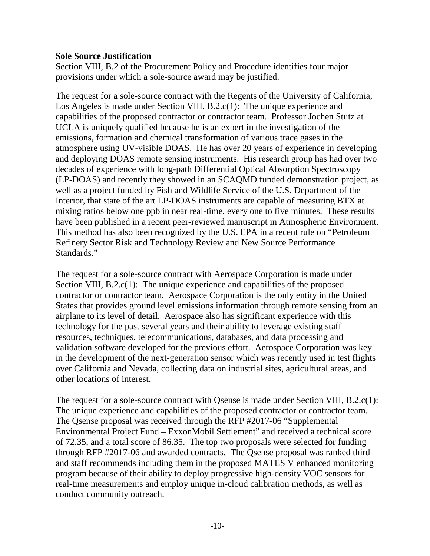### **Sole Source Justification**

Section VIII, B.2 of the Procurement Policy and Procedure identifies four major provisions under which a sole-source award may be justified.

The request for a sole-source contract with the Regents of the University of California, Los Angeles is made under Section VIII, B.2.c(1): The unique experience and capabilities of the proposed contractor or contractor team. Professor Jochen Stutz at UCLA is uniquely qualified because he is an expert in the investigation of the emissions, formation and chemical transformation of various trace gases in the atmosphere using UV-visible DOAS. He has over 20 years of experience in developing and deploying DOAS remote sensing instruments. His research group has had over two decades of experience with long-path Differential Optical Absorption Spectroscopy (LP-DOAS) and recently they showed in an SCAQMD funded demonstration project, as well as a project funded by Fish and Wildlife Service of the U.S. Department of the Interior, that state of the art LP-DOAS instruments are capable of measuring BTX at mixing ratios below one ppb in near real-time, every one to five minutes. These results have been published in a recent peer-reviewed manuscript in Atmospheric Environment. This method has also been recognized by the U.S. EPA in a recent rule on "Petroleum Refinery Sector Risk and Technology Review and New Source Performance Standards."

The request for a sole-source contract with Aerospace Corporation is made under Section VIII, B.2.c(1): The unique experience and capabilities of the proposed contractor or contractor team. Aerospace Corporation is the only entity in the United States that provides ground level emissions information through remote sensing from an airplane to its level of detail. Aerospace also has significant experience with this technology for the past several years and their ability to leverage existing staff resources, techniques, telecommunications, databases, and data processing and validation software developed for the previous effort. Aerospace Corporation was key in the development of the next-generation sensor which was recently used in test flights over California and Nevada, collecting data on industrial sites, agricultural areas, and other locations of interest.

The request for a sole-source contract with Qsense is made under Section VIII, B.2.c(1): The unique experience and capabilities of the proposed contractor or contractor team. The Qsense proposal was received through the RFP #2017-06 "Supplemental Environmental Project Fund – ExxonMobil Settlement" and received a technical score of 72.35, and a total score of 86.35. The top two proposals were selected for funding through RFP #2017-06 and awarded contracts. The Qsense proposal was ranked third and staff recommends including them in the proposed MATES V enhanced monitoring program because of their ability to deploy progressive high-density VOC sensors for real-time measurements and employ unique in-cloud calibration methods, as well as conduct community outreach.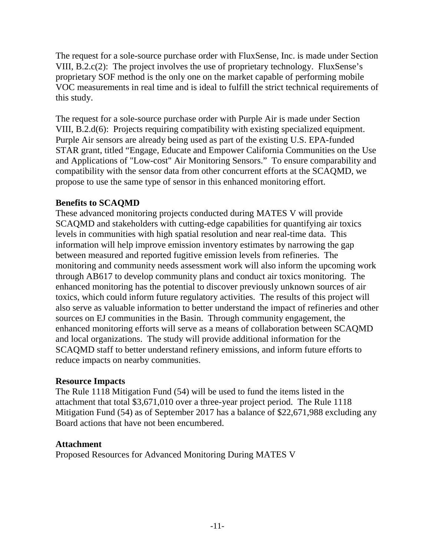The request for a sole-source purchase order with FluxSense, Inc. is made under Section VIII, B.2.c(2): The project involves the use of proprietary technology. FluxSense's proprietary SOF method is the only one on the market capable of performing mobile VOC measurements in real time and is ideal to fulfill the strict technical requirements of this study.

The request for a sole-source purchase order with Purple Air is made under Section VIII, B.2.d(6): Projects requiring compatibility with existing specialized equipment. Purple Air sensors are already being used as part of the existing U.S. EPA-funded STAR grant, titled "Engage, Educate and Empower California Communities on the Use and Applications of "Low-cost" Air Monitoring Sensors." To ensure comparability and compatibility with the sensor data from other concurrent efforts at the SCAQMD, we propose to use the same type of sensor in this enhanced monitoring effort.

## **Benefits to SCAQMD**

These advanced monitoring projects conducted during MATES V will provide SCAQMD and stakeholders with cutting-edge capabilities for quantifying air toxics levels in communities with high spatial resolution and near real-time data. This information will help improve emission inventory estimates by narrowing the gap between measured and reported fugitive emission levels from refineries. The monitoring and community needs assessment work will also inform the upcoming work through AB617 to develop community plans and conduct air toxics monitoring. The enhanced monitoring has the potential to discover previously unknown sources of air toxics, which could inform future regulatory activities. The results of this project will also serve as valuable information to better understand the impact of refineries and other sources on EJ communities in the Basin. Through community engagement, the enhanced monitoring efforts will serve as a means of collaboration between SCAQMD and local organizations. The study will provide additional information for the SCAQMD staff to better understand refinery emissions, and inform future efforts to reduce impacts on nearby communities.

## **Resource Impacts**

The Rule 1118 Mitigation Fund (54) will be used to fund the items listed in the attachment that total \$3,671,010 over a three-year project period. The Rule 1118 Mitigation Fund (54) as of September 2017 has a balance of \$22,671,988 excluding any Board actions that have not been encumbered.

## **Attachment**

Proposed Resources for Advanced Monitoring During MATES V